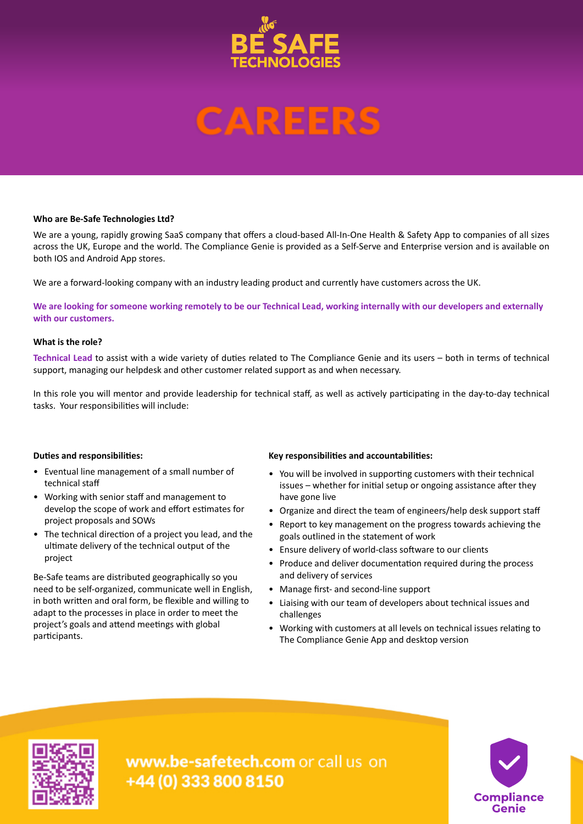



### **Who are Be-Safe Technologies Ltd?**

We are a young, rapidly growing SaaS company that offers a cloud-based All-In-One Health & Safety App to companies of all sizes across the UK, Europe and the world. The Compliance Genie is provided as a Self-Serve and Enterprise version and is available on both IOS and Android App stores.

We are a forward-looking company with an industry leading product and currently have customers across the UK.

**We are looking for someone working remotely to be our Technical Lead, working internally with our developers and externally with our customers.**

### **What is the role?**

Technical Lead to assist with a wide variety of duties related to The Compliance Genie and its users - both in terms of technical support, managing our helpdesk and other customer related support as and when necessary.

In this role you will mentor and provide leadership for technical staff, as well as actively participating in the day-to-day technical tasks. Your responsibilities will include:

### **Duties and responsibilities:**

- Eventual line management of a small number of technical staff
- Working with senior staff and management to develop the scope of work and effort estimates for project proposals and SOWs
- The technical direction of a project you lead, and the ultimate delivery of the technical output of the project

Be-Safe teams are distributed geographically so you need to be self-organized, communicate well in English, in both written and oral form, be flexible and willing to adapt to the processes in place in order to meet the project's goals and attend meetings with global participants.

### **Key responsibili�es and accountabili�es:**

- You will be involved in supporting customers with their technical issues – whether for initial setup or ongoing assistance after they have gone live
- Organize and direct the team of engineers/help desk support staff
- Report to key management on the progress towards achieving the goals outlined in the statement of work
- Ensure delivery of world-class software to our clients
- Produce and deliver documentation required during the process and delivery of services
- Manage first- and second-line support
- Liaising with our team of developers about technical issues and challenges
- Working with customers at all levels on technical issues relating to The Compliance Genie App and desktop version



www.be-safetech.com or call us on +44 (0) 333 800 8150